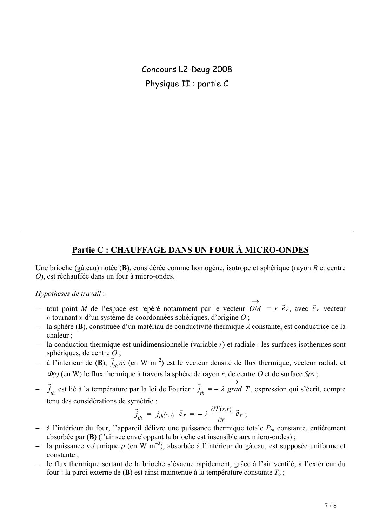Concours L2-Deug 2008 Physique II : partie C

## Partie C : CHAUFFAGE DANS UN FOUR À MICRO-ONDES

Une brioche (gâteau) notée ( $\bf{B}$ ), considérée comme homogène, isotrope et sphérique (rayon  $R$  et centre O), est réchauffée dans un four à micro-ondes.

## Hypothèses de travail :

- tout point M de l'espace est repéré notamment par le vecteur  $\overrightarrow{OM} = r \vec{e}_r$ , avec  $\vec{e}_r$  vecteur « tournant » d'un système de coordonnées sphériques, d'origine  $O$ ;
- la sphère (B), constituée d'un matériau de conductivité thermique  $\lambda$  constante, est conductrice de la chaleur ·
- la conduction thermique est unidimensionnelle (variable  $r$ ) et radiale : les surfaces isothermes sont sphériques, de centre  $O$ ;
- à l'intérieur de (B),  $\vec{j}_{th}(r)$  (en W m<sup>-2</sup>) est le vecteur densité de flux thermique, vecteur radial, et  $\Phi(r)$  (en W) le flux thermique à travers la sphère de rayon r, de centre O et de surface  $S(r)$ ;
- $\vec{j}_{th}$  est lié à la température par la loi de Fourier :  $\vec{j}_{th} = -\lambda$  grad T, expression qui s'écrit, compte tenu des considérations de symétrie :

$$
\vec{j}_{th} = j_{th}(r, t) \vec{e}_r = -\lambda \frac{\partial T(r,t)}{\partial r} \vec{e}_r ;
$$

- à l'intérieur du four, l'appareil délivre une puissance thermique totale  $P_{th}$  constante, entièrement absorbée par (B) (l'air sec enveloppant la brioche est insensible aux micro-ondes);
- la puissance volumique  $p$  (en W m<sup>-3</sup>), absorbée à l'intérieur du gâteau, est supposée uniforme et constante:
- le flux thermique sortant de la brioche s'évacue rapidement, grâce à l'air ventilé, à l'extérieur du  $\equiv$  . four : la paroi externe de (B) est ainsi maintenue à la température constante  $T_o$ ;